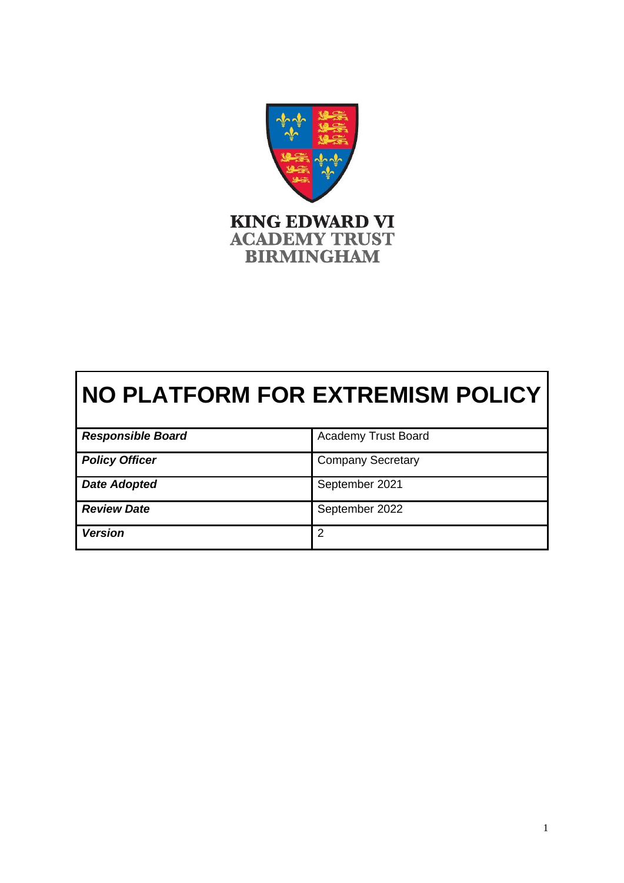

# **NO PLATFORM FOR EXTREMISM POLICY**

| <b>Responsible Board</b> | <b>Academy Trust Board</b> |
|--------------------------|----------------------------|
| <b>Policy Officer</b>    | <b>Company Secretary</b>   |
| <b>Date Adopted</b>      | September 2021             |
| <b>Review Date</b>       | September 2022             |
| <b>Version</b>           | 2                          |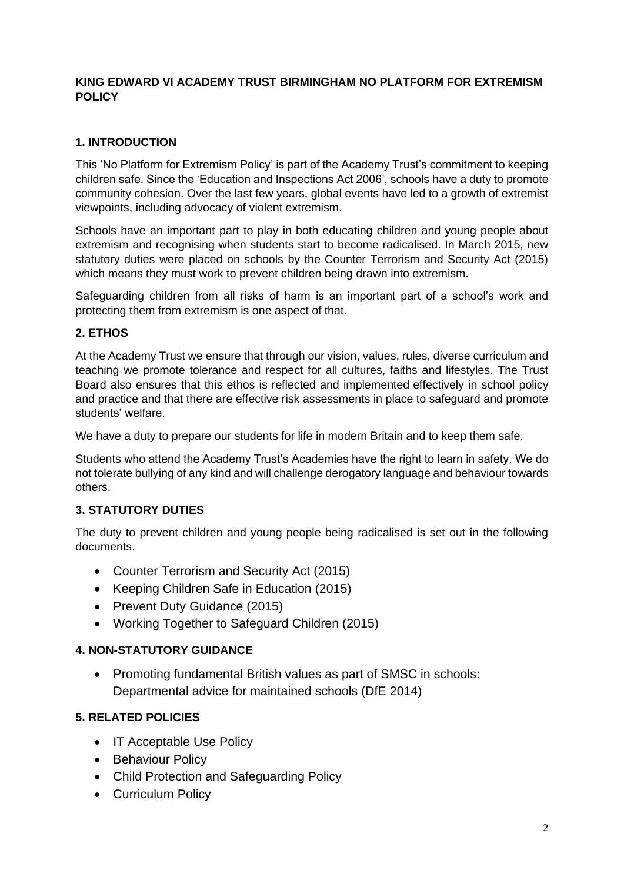#### **KING EDWARD VI ACADEMY TRUST BIRMINGHAM NO PLATFORM FOR EXTREMISM POLICY**

#### **1. INTRODUCTION**

This 'No Platform for Extremism Policy' is part of the Academy Trust's commitment to keeping children safe. Since the 'Education and Inspections Act 2006', schools have a duty to promote community cohesion. Over the last few years, global events have led to a growth of extremist viewpoints, including advocacy of violent extremism.

Schools have an important part to play in both educating children and young people about extremism and recognising when students start to become radicalised. In March 2015, new statutory duties were placed on schools by the Counter Terrorism and Security Act (2015) which means they must work to prevent children being drawn into extremism.

Safeguarding children from all risks of harm is an important part of a school's work and protecting them from extremism is one aspect of that.

#### **2. ETHOS**

At the Academy Trust we ensure that through our vision, values, rules, diverse curriculum and teaching we promote tolerance and respect for all cultures, faiths and lifestyles. The Trust Board also ensures that this ethos is reflected and implemented effectively in school policy and practice and that there are effective risk assessments in place to safeguard and promote students' welfare.

We have a duty to prepare our students for life in modern Britain and to keep them safe.

Students who attend the Academy Trust's Academies have the right to learn in safety. We do not tolerate bullying of any kind and will challenge derogatory language and behaviour towards others.

#### **3. STATUTORY DUTIES**

The duty to prevent children and young people being radicalised is set out in the following documents.

- Counter Terrorism and Security Act (2015)
- Keeping Children Safe in Education (2015)
- Prevent Duty Guidance (2015)
- Working Together to Safeguard Children (2015)

### **4. NON-STATUTORY GUIDANCE**

• Promoting fundamental British values as part of SMSC in schools: Departmental advice for maintained schools (DfE 2014)

#### **5. RELATED POLICIES**

- IT Acceptable Use Policy
- Behaviour Policy
- Child Protection and Safeguarding Policy
- Curriculum Policy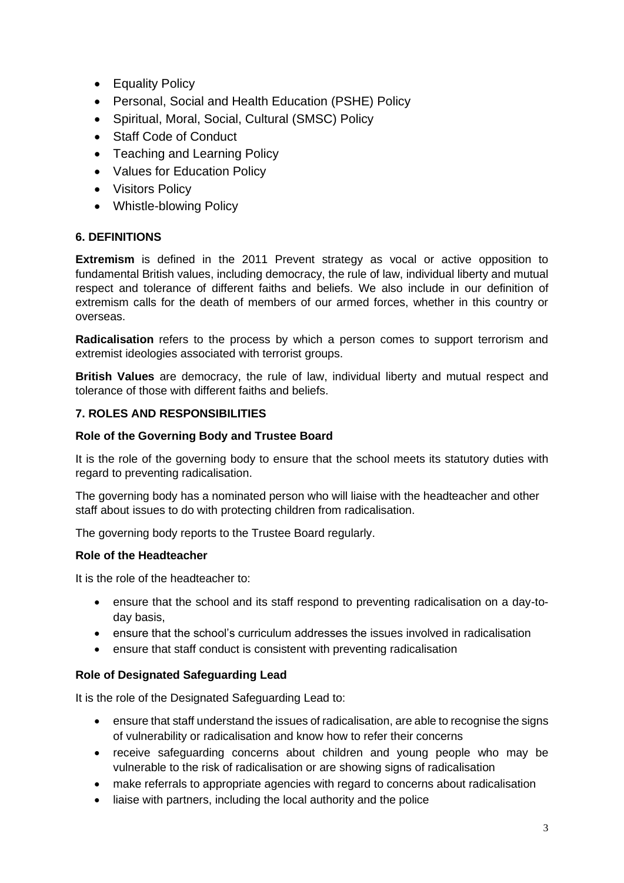- Equality Policy
- Personal, Social and Health Education (PSHE) Policy
- Spiritual, Moral, Social, Cultural (SMSC) Policy
- Staff Code of Conduct
- Teaching and Learning Policy
- Values for Education Policy
- Visitors Policy
- Whistle-blowing Policy

### **6. DEFINITIONS**

**Extremism** is defined in the 2011 Prevent strategy as vocal or active opposition to fundamental British values, including democracy, the rule of law, individual liberty and mutual respect and tolerance of different faiths and beliefs. We also include in our definition of extremism calls for the death of members of our armed forces, whether in this country or overseas.

**Radicalisation** refers to the process by which a person comes to support terrorism and extremist ideologies associated with terrorist groups.

**British Values** are democracy, the rule of law, individual liberty and mutual respect and tolerance of those with different faiths and beliefs.

#### **7. ROLES AND RESPONSIBILITIES**

#### **Role of the Governing Body and Trustee Board**

It is the role of the governing body to ensure that the school meets its statutory duties with regard to preventing radicalisation.

The governing body has a nominated person who will liaise with the headteacher and other staff about issues to do with protecting children from radicalisation.

The governing body reports to the Trustee Board regularly.

#### **Role of the Headteacher**

It is the role of the headteacher to:

- ensure that the school and its staff respond to preventing radicalisation on a day-today basis,
- ensure that the school's curriculum addresses the issues involved in radicalisation
- ensure that staff conduct is consistent with preventing radicalisation

#### **Role of Designated Safeguarding Lead**

It is the role of the Designated Safeguarding Lead to:

- ensure that staff understand the issues of radicalisation, are able to recognise the signs of vulnerability or radicalisation and know how to refer their concerns
- receive safeguarding concerns about children and young people who may be vulnerable to the risk of radicalisation or are showing signs of radicalisation
- make referrals to appropriate agencies with regard to concerns about radicalisation
- liaise with partners, including the local authority and the police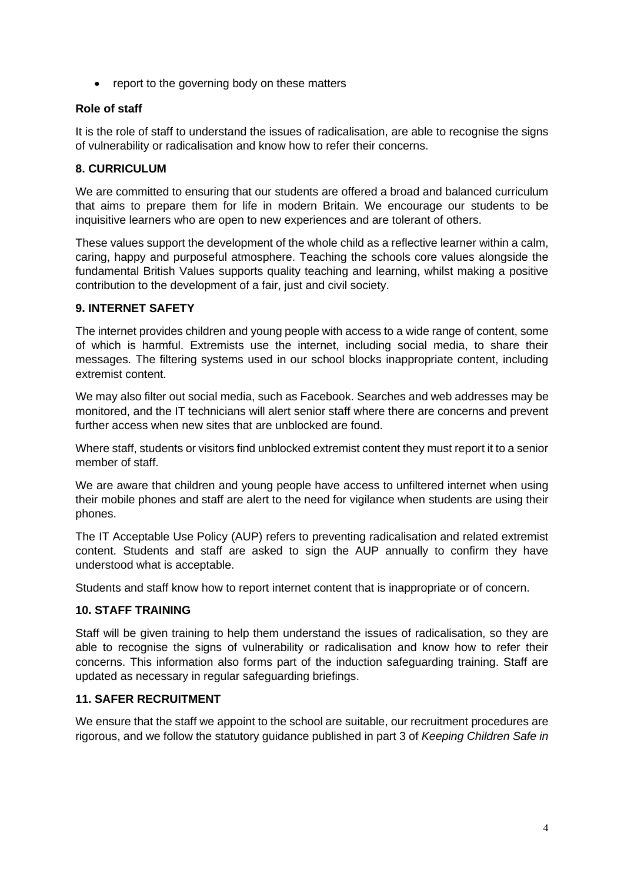• report to the governing body on these matters

#### **Role of staff**

It is the role of staff to understand the issues of radicalisation, are able to recognise the signs of vulnerability or radicalisation and know how to refer their concerns.

#### **8. CURRICULUM**

We are committed to ensuring that our students are offered a broad and balanced curriculum that aims to prepare them for life in modern Britain. We encourage our students to be inquisitive learners who are open to new experiences and are tolerant of others.

These values support the development of the whole child as a reflective learner within a calm, caring, happy and purposeful atmosphere. Teaching the schools core values alongside the fundamental British Values supports quality teaching and learning, whilst making a positive contribution to the development of a fair, just and civil society.

#### **9. INTERNET SAFETY**

The internet provides children and young people with access to a wide range of content, some of which is harmful. Extremists use the internet, including social media, to share their messages. The filtering systems used in our school blocks inappropriate content, including extremist content.

We may also filter out social media, such as Facebook. Searches and web addresses may be monitored, and the IT technicians will alert senior staff where there are concerns and prevent further access when new sites that are unblocked are found.

Where staff, students or visitors find unblocked extremist content they must report it to a senior member of staff.

We are aware that children and young people have access to unfiltered internet when using their mobile phones and staff are alert to the need for vigilance when students are using their phones.

The IT Acceptable Use Policy (AUP) refers to preventing radicalisation and related extremist content. Students and staff are asked to sign the AUP annually to confirm they have understood what is acceptable.

Students and staff know how to report internet content that is inappropriate or of concern.

#### **10. STAFF TRAINING**

Staff will be given training to help them understand the issues of radicalisation, so they are able to recognise the signs of vulnerability or radicalisation and know how to refer their concerns. This information also forms part of the induction safeguarding training. Staff are updated as necessary in regular safeguarding briefings.

#### **11. SAFER RECRUITMENT**

We ensure that the staff we appoint to the school are suitable, our recruitment procedures are rigorous, and we follow the statutory guidance published in part 3 of *Keeping Children Safe in*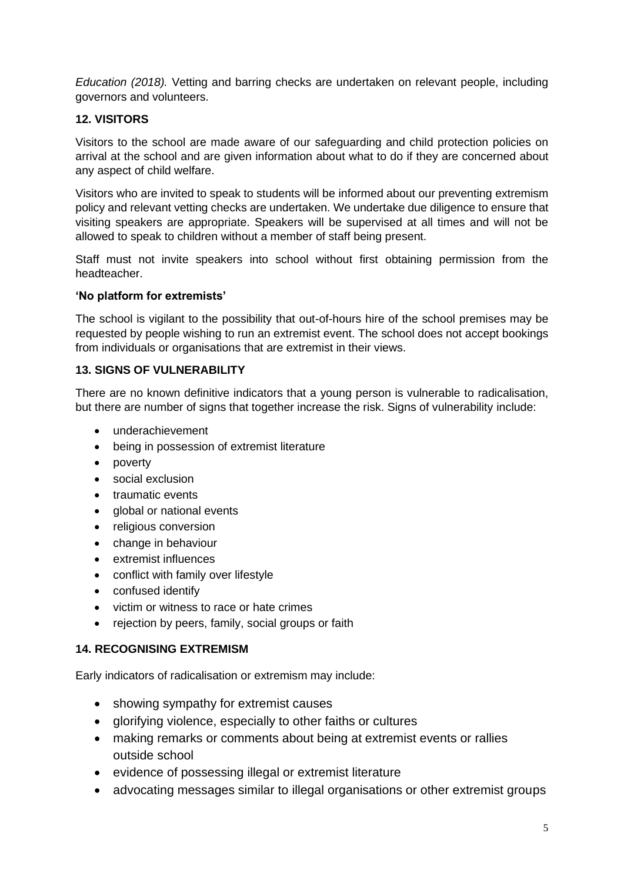*Education (2018).* Vetting and barring checks are undertaken on relevant people, including governors and volunteers.

#### **12. VISITORS**

Visitors to the school are made aware of our safeguarding and child protection policies on arrival at the school and are given information about what to do if they are concerned about any aspect of child welfare.

Visitors who are invited to speak to students will be informed about our preventing extremism policy and relevant vetting checks are undertaken. We undertake due diligence to ensure that visiting speakers are appropriate. Speakers will be supervised at all times and will not be allowed to speak to children without a member of staff being present.

Staff must not invite speakers into school without first obtaining permission from the headteacher.

#### **'No platform for extremists'**

The school is vigilant to the possibility that out-of-hours hire of the school premises may be requested by people wishing to run an extremist event. The school does not accept bookings from individuals or organisations that are extremist in their views.

#### **13. SIGNS OF VULNERABILITY**

There are no known definitive indicators that a young person is vulnerable to radicalisation, but there are number of signs that together increase the risk. Signs of vulnerability include:

- underachievement
- being in possession of extremist literature
- poverty
- social exclusion
- traumatic events
- global or national events
- religious conversion
- change in behaviour
- extremist influences
- conflict with family over lifestyle
- confused identify
- victim or witness to race or hate crimes
- rejection by peers, family, social groups or faith

#### **14. RECOGNISING EXTREMISM**

Early indicators of radicalisation or extremism may include:

- showing sympathy for extremist causes
- glorifying violence, especially to other faiths or cultures
- making remarks or comments about being at extremist events or rallies outside school
- evidence of possessing illegal or extremist literature
- advocating messages similar to illegal organisations or other extremist groups